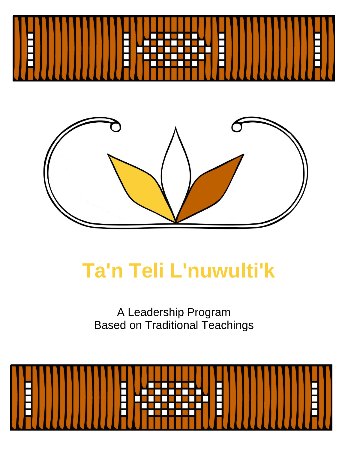



A Leadership Program Based on Traditional Teachings

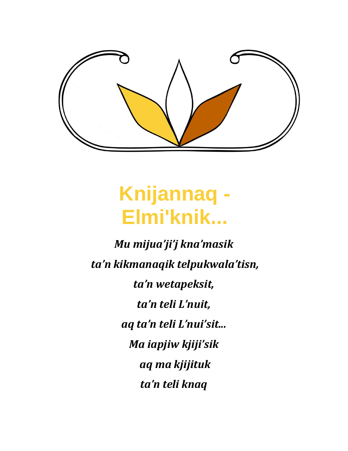

### **Knijannaq - Elmi'knik...**

*Mu mijua'ji'j kna'masik ta'n kikmanaqik telpukwala'tisn, ta'n wetapeksit, ta'n teli L'nuit, aq ta'n teli L'nui'sit... Ma iapjiw kjiji'sik aq ma kjijituk ta'n teli knaq*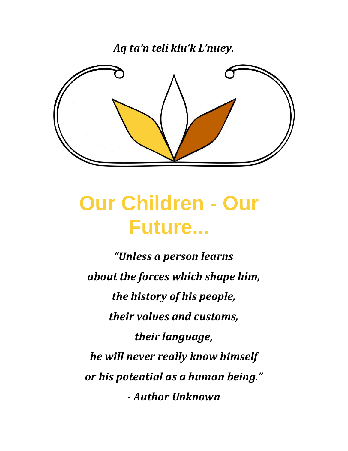*Aq ta'n teli klu'k L'nuey.*



### **Our Children - Our Future...**

*"Unless a person learns about the forces which shape him, the history of his people, their values and customs, their language, he will never really know himself or his potential as a human being." - Author Unknown*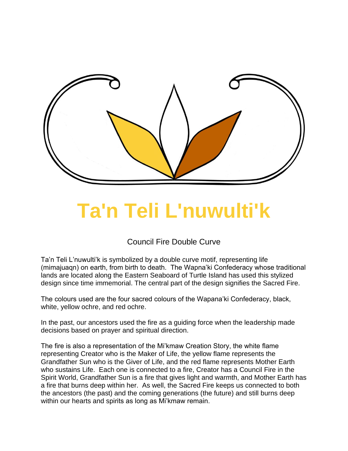

#### Council Fire Double Curve

Ta'n Teli L'nuwulti'k is symbolized by a double curve motif, representing life (mimajuaqn) on earth, from birth to death. The Wapna'ki Confederacy whose traditional lands are located along the Eastern Seaboard of Turtle Island has used this stylized design since time immemorial. The central part of the design signifies the Sacred Fire.

The colours used are the four sacred colours of the Wapana'ki Confederacy, black, white, yellow ochre, and red ochre.

In the past, our ancestors used the fire as a guiding force when the leadership made decisions based on prayer and spiritual direction.

The fire is also a representation of the Mi'kmaw Creation Story, the white flame representing Creator who is the Maker of Life, the yellow flame represents the Grandfather Sun who is the Giver of Life, and the red flame represents Mother Earth who sustains Life. Each one is connected to a fire, Creator has a Council Fire in the Spirit World, Grandfather Sun is a fire that gives light and warmth, and Mother Earth has a fire that burns deep within her. As well, the Sacred Fire keeps us connected to both the ancestors (the past) and the coming generations (the future) and still burns deep within our hearts and spirits as long as Mi'kmaw remain.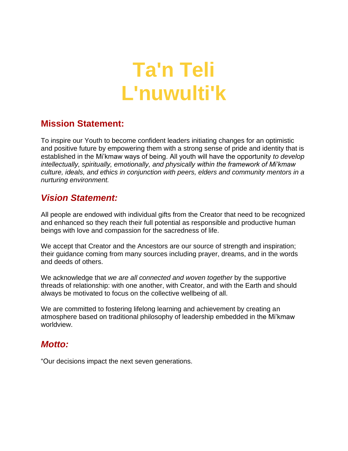#### **Mission Statement:**

To inspire our Youth to become confident leaders initiating changes for an optimistic and positive future by empowering them with a strong sense of pride and identity that is established in the Mi'kmaw ways of being. All youth will have the opportunity *to develop intellectually, spiritually, emotionally, and physically within the framework of Mi'kmaw culture, ideals, and ethics in conjunction with peers, elders and community mentors in a nurturing environment.*

#### *Vision Statement:*

All people are endowed with individual gifts from the Creator that need to be recognized and enhanced so they reach their full potential as responsible and productive human beings with love and compassion for the sacredness of life.

We accept that Creator and the Ancestors are our source of strength and inspiration; their guidance coming from many sources including prayer, dreams, and in the words and deeds of others.

We acknowledge that *we are all connected and woven together* by the supportive threads of relationship: with one another, with Creator, and with the Earth and should always be motivated to focus on the collective wellbeing of all.

We are committed to fostering lifelong learning and achievement by creating an atmosphere based on traditional philosophy of leadership embedded in the Mi'kmaw worldview.

#### *Motto:*

"Our decisions impact the next seven generations.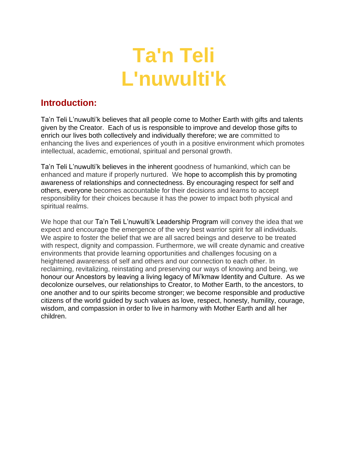#### **Introduction:**

Ta'n Teli L'nuwulti'k believes that all people come to Mother Earth with gifts and talents given by the Creator. Each of us is responsible to improve and develop those gifts to enrich our lives both collectively and individually therefore; we are committed to enhancing the lives and experiences of youth in a positive environment which promotes intellectual, academic, emotional, spiritual and personal growth.

Ta'n Teli L'nuwulti'k believes in the inherent goodness of humankind, which can be enhanced and mature if properly nurtured. We hope to accomplish this by promoting awareness of relationships and connectedness. By encouraging respect for self and others, everyone becomes accountable for their decisions and learns to accept responsibility for their choices because it has the power to impact both physical and spiritual realms.

We hope that our Ta'n Teli L'nuwulti'k Leadership Program will convey the idea that we expect and encourage the emergence of the very best warrior spirit for all individuals. We aspire to foster the belief that we are all sacred beings and deserve to be treated with respect, dignity and compassion. Furthermore, we will create dynamic and creative environments that provide learning opportunities and challenges focusing on a heightened awareness of self and others and our connection to each other. In reclaiming, revitalizing, reinstating and preserving our ways of knowing and being, we honour our Ancestors by leaving a living legacy of Mi'kmaw Identity and Culture. As we decolonize ourselves, our relationships to Creator, to Mother Earth, to the ancestors, to one another and to our spirits become stronger; we become responsible and productive citizens of the world guided by such values as love, respect, honesty, humility, courage, wisdom, and compassion in order to live in harmony with Mother Earth and all her children.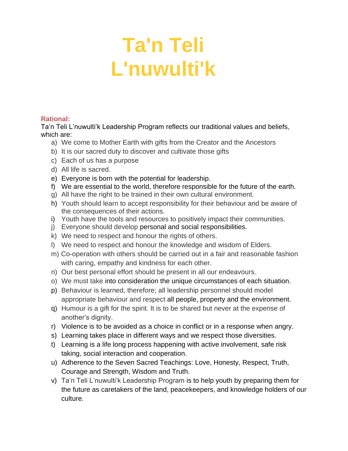#### **Rational:**

Ta'n Teli L'nuwulti'k Leadership Program reflects our traditional values and beliefs, which are:

- a) We come to Mother Earth with gifts from the Creator and the Ancestors
- b) It is our sacred duty to discover and cultivate those gifts
- c) Each of us has a purpose
- d) All life is sacred.
- e) Everyone is born with the potential for leadership.
- f) We are essential to the world, therefore responsible for the future of the earth.
- g) All have the right to be trained in their own cultural environment.
- h) Youth should learn to accept responsibility for their behaviour and be aware of the consequences of their actions.
- i) Youth have the tools and resources to positively impact their communities.
- j) Everyone should develop personal and social responsibilities.
- k) We need to respect and honour the rights of others.
- l) We need to respect and honour the knowledge and wisdom of Elders.
- m) Co-operation with others should be carried out in a fair and reasonable fashion with caring, empathy and kindness for each other.
- n) Our best personal effort should be present in all our endeavours.
- o) We must take into consideration the unique circumstances of each situation.
- p) Behaviour is learned, therefore; all leadership personnel should model appropriate behaviour and respect all people, property and the environment.
- q) Humour is a gift for the spirit. It is to be shared but never at the expense of another's dignity.
- r) Violence is to be avoided as a choice in conflict or in a response when angry.
- s) Learning takes place in different ways and we respect those diversities.
- t) Learning is a life long process happening with active involvement, safe risk taking, social interaction and cooperation.
- u) Adherence to the Seven Sacred Teachings: Love, Honesty, Respect, Truth, Courage and Strength, Wisdom and Truth.
- v) Ta'n Teli L'nuwulti'k Leadership Program is to help youth by preparing them for the future as caretakers of the land, peacekeepers, and knowledge holders of our culture.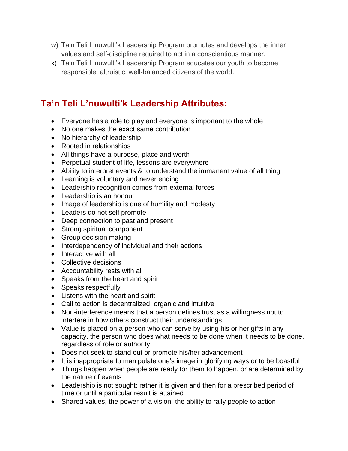- w) Ta'n Teli L'nuwulti'k Leadership Program promotes and develops the inner values and self-discipline required to act in a conscientious manner.
- x) Ta'n Teli L'nuwulti'k Leadership Program educates our youth to become responsible, altruistic, well-balanced citizens of the world.

### **Ta'n Teli L'nuwulti'k Leadership Attributes:**

- Everyone has a role to play and everyone is important to the whole
- No one makes the exact same contribution
- No hierarchy of leadership
- Rooted in relationships
- All things have a purpose, place and worth
- Perpetual student of life, lessons are everywhere
- Ability to interpret events & to understand the immanent value of all thing
- Learning is voluntary and never ending
- Leadership recognition comes from external forces
- Leadership is an honour
- Image of leadership is one of humility and modesty
- Leaders do not self promote
- Deep connection to past and present
- Strong spiritual component
- Group decision making
- Interdependency of individual and their actions
- Interactive with all
- Collective decisions
- Accountability rests with all
- Speaks from the heart and spirit
- Speaks respectfully
- Listens with the heart and spirit
- Call to action is decentralized, organic and intuitive
- Non-interference means that a person defines trust as a willingness not to interfere in how others construct their understandings
- Value is placed on a person who can serve by using his or her gifts in any capacity, the person who does what needs to be done when it needs to be done, regardless of role or authority
- Does not seek to stand out or promote his/her advancement
- It is inappropriate to manipulate one's image in glorifying ways or to be boastful
- Things happen when people are ready for them to happen, or are determined by the nature of events
- Leadership is not sought; rather it is given and then for a prescribed period of time or until a particular result is attained
- Shared values, the power of a vision, the ability to rally people to action